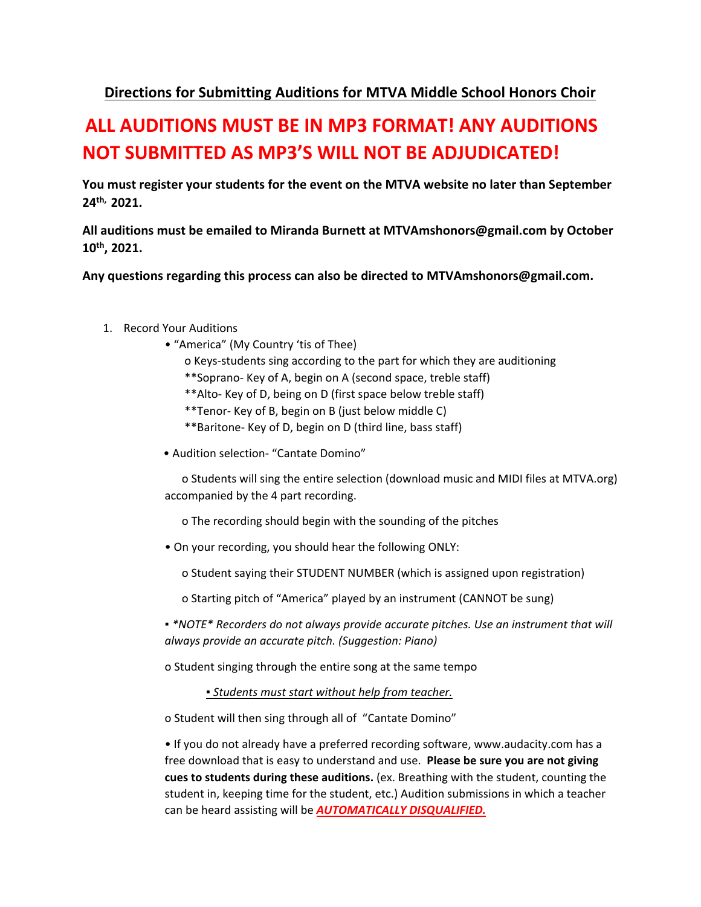## **Directions for Submitting Auditions for MTVA Middle School Honors Choir**

## **ALL AUDITIONS MUST BE IN MP3 FORMAT! ANY AUDITIONS NOT SUBMITTED AS MP3'S WILL NOT BE ADJUDICATED!**

**You must register your students for the event on the MTVA website no later than September 24th, 2021.**

**All auditions must be emailed to Miranda Burnett at MTVAmshonors@gmail.com by October 10th, 2021.** 

**Any questions regarding this process can also be directed to MTVAmshonors@gmail.com.** 

- 1. Record Your Auditions
	- "America" (My Country 'tis of Thee)
		- o Keys-students sing according to the part for which they are auditioning
		- \*\*Soprano- Key of A, begin on A (second space, treble staff)
		- \*\*Alto- Key of D, being on D (first space below treble staff)
		- \*\*Tenor- Key of B, begin on B (just below middle C)
		- \*\*Baritone- Key of D, begin on D (third line, bass staff)
	- Audition selection- "Cantate Domino"

 o Students will sing the entire selection (download music and MIDI files at MTVA.org) accompanied by the 4 part recording.

o The recording should begin with the sounding of the pitches

• On your recording, you should hear the following ONLY:

o Student saying their STUDENT NUMBER (which is assigned upon registration)

o Starting pitch of "America" played by an instrument (CANNOT be sung)

*▪ \*NOTE\* Recorders do not always provide accurate pitches. Use an instrument that will always provide an accurate pitch. (Suggestion: Piano)* 

o Student singing through the entire song at the same tempo

*▪ Students must start without help from teacher.* 

o Student will then sing through all of "Cantate Domino"

• If you do not already have a preferred recording software, www.audacity.com has a free download that is easy to understand and use. **Please be sure you are not giving cues to students during these auditions.** (ex. Breathing with the student, counting the student in, keeping time for the student, etc.) Audition submissions in which a teacher can be heard assisting will be *AUTOMATICALLY DISQUALIFIED.*